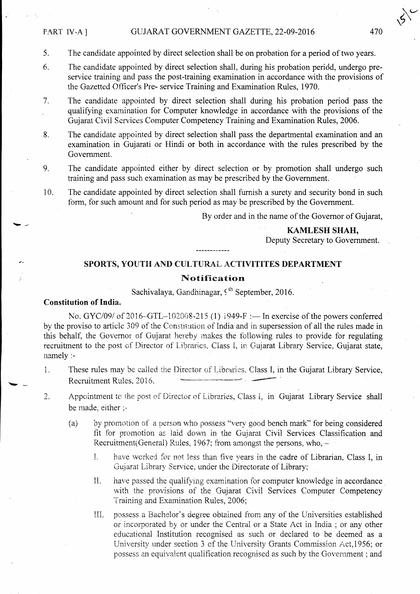#### PART IV-A] GUJARAT GOVERNMENT GAZETTE, 22-09-2016

- 470
- $5<sub>1</sub>$ The candidate appointed by direct selection shall be on probation for a period of two years.
- $6<sub>1</sub>$ The candidate appointed by direct selection shall, during his probation period, undergo preservice training and pass the post-training examination in accordance with the provisions of the Gazetted Officer's Pre-service Training and Examination Rules, 1970.
- The candidate appointed by direct selection shall during his probation period pass the  $7<sub>1</sub>$ qualifying examination for Computer knowledge in accordance with the provisions of the Guiarat Civil Services Computer Competency Training and Examination Rules, 2006.
- 8. The candidate appointed by direct selection shall pass the departmental examination and an examination in Guiarati or Hindi or both in accordance with the rules prescribed by the Government.
- 9. The candidate appointed either by direct selection or by promotion shall undergo such training and pass such examination as may be prescribed by the Government.
- The candidate appointed by direct selection shall furnish a surety and security bond in such  $10.$ form, for such amount and for such period as may be prescribed by the Government.

By order and in the name of the Governor of Gujarat,

**KAMLESH SHAH.** Deputy Secretary to Government.

## SPORTS, YOUTH AND CULTURAL ACTIVITITES DEPARTMENT **Notification**

Sachivalaya, Gandhinagar,  $\zeta$ <sup>th</sup> September, 2016.

### **Constitution of India.**

No. GYC/09/ of 2016–GTL–102008-215 (1) 1949-F :— In exercise of the powers conferred by the proviso to article 309 of the Constitution of India and in supersession of all the rules made in this behalf, the Governor of Gujarat hereby makes the following rules to provide for regulating recruitment to the post of Director of Libraries, Class I, in Gujarat Library Service, Gujarat state, namely :-

These rules may be called the Director of Libraries, Class I, in the Gujarat Library Service, 1. Recruitment Rules, 2016.

- Appointment to the post of Director of Libraries, Class I, in Gujarat Library Service shall  $2.$ be made, either :
	- by promotion of a person who possess "very good bench mark" for being considered  $(a)$ fit for promotion as laid down in the Gujarat Civil Services Classification and Recruitment (General) Rules, 1967; from amongst the persons, who, -
		- Ţ. have worked for not less than five years in the cadre of Librarian, Class I, in Gujarat Library Service, under the Directorate of Library;
		- II. have passed the qualifying examination for computer knowledge in accordance with the provisions of the Gujarat Civil Services Computer Competency Training and Examination Rules, 2006;
		- possess a Bachelor's degree obtained from any of the Universities established III. or incorporated by or under the Central or a State Act in India; or any other educational Institution recognised as such or declared to be deemed as a University under section 3 of the University Grants Commission Act, 1956; or possess an equivalent qualification recognised as such by the Government; and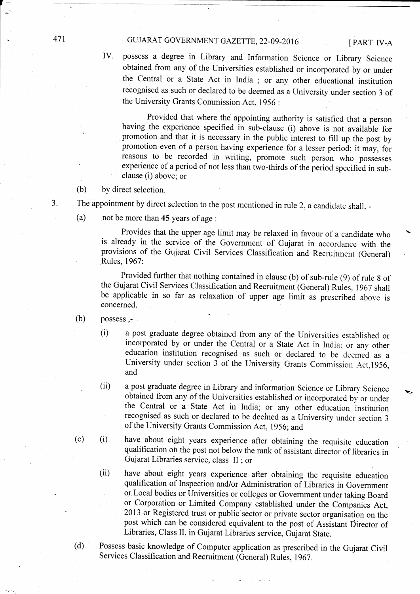## 471 GUJARAT GOVERNMENT GAZETTE, 22-09-2016 [PART IV-A

IV. possess a degree in Library and Information Science or Library Science obtained from any of the Universities established or incorporated by or under the Central or a State Act'in India ; or any other educational institution recognised as such or declared to be deemed as a University under section 3 of the University Grants Commission Act, 1956:

Provided that where the appointing authority is satisfied that a person having the experience specified in sub-clause (i) above is not available for promotion and that it is necessary in the public interest to fill up the post by promotion even of a person having experience for a lesser period; it may, for reasons to be recorded in writing, promote such person who possesses experience of a period of not less than two-thirds of the period specified in subclause (i) above; or

- by direct selection. (b)
- 3. The appointment by direct selection to the post mentioned in rule 2, a candidate shall,
	- not be more than 45 years of age : (a)

Provides that the upper age limit may be relaxed in favour of a candidate who is already in the service of the Govemment of Gujarat in accordance with the provisions of the Gujarat Civil Services Classification and Recruitment (General) Rules, 1967:

Provided further that nothing contained in clause (b) of sub-rule (9) of rule 8 of the Gujarat Civil Services Classification and Recruitment (General) Ruies, 1967 shall be applicable in so far as relaxation of upper age limit as prescribed above is concerned.

- possess ,- (b)
	- (i) a post graduate degree obtained from any of the Universities established or incorporated by or under the Central or a State Act in India: or any other education institution recognised as such or declared to be deemed as <sup>a</sup> University under section 3 of the University Grants Commission Act.1956, and
	- (ii) a post graduate degree in Library and information Science or Library Science obtained from any of the Universities established or incorporated by or under the Central or a State Act in India; or any other education institution recognised as such or declared to be deeined as a University under section <sup>3</sup> of the University Grants Commission Act, 1956; and
- (c)
- (D have about eight years experience after obtaining the requisite education qualification oh the post not below the rank of assistant direcior of libraries in Gujarat Libraries service, class II ; or
	- (ii) have about eight years experience after obtaining the requisite education qualification of Inspection and/or Administration of Libraries in Government or. Local bodies or Universities or colleges or Govemment under taking Board or Corporation or Limited Company established under the Companies Act, 2013 or Registered trust or public sector or private sector organisation on the post which can be considered equivalent to the post of Assistant Director of Libraries, Class II, in Gujarat Libraries service, Gujarat State.
- Possess basic knowledge of Computer application as prescribed in the Gujarat Civil Services Classification and Recruitment (General) Rules, 1967. (d)